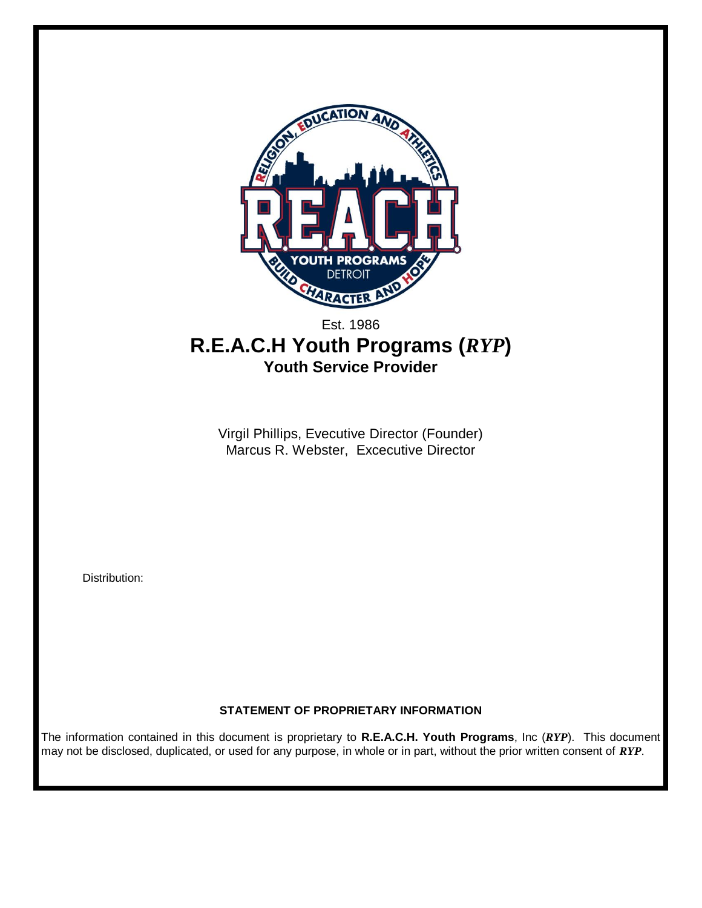

# Est. 1986 **R.E.A.C.H Youth Programs (***RYP***) Youth Service Provider**

Virgil Phillips, Evecutive Director (Founder) Marcus R. Webster, Excecutive Director

Distribution:

## **STATEMENT OF PROPRIETARY INFORMATION**

The information contained in this document is proprietary to **R.E.A.C.H. Youth Programs**, Inc (*RYP*). This document may not be disclosed, duplicated, or used for any purpose, in whole or in part, without the prior written consent of *RYP*.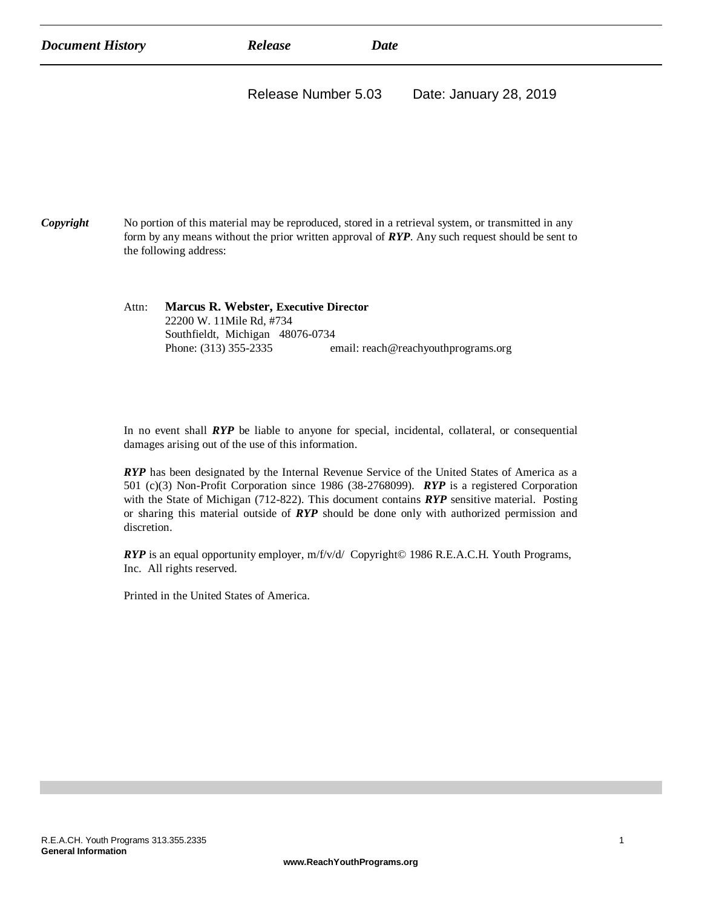| <b>Document History</b> | Release             | Date |                        |
|-------------------------|---------------------|------|------------------------|
|                         | Release Number 5.03 |      | Date: January 28, 2019 |
|                         |                     |      |                        |

| Copyright | No portion of this material may be reproduced, stored in a retrieval system, or transmitted in any |
|-----------|----------------------------------------------------------------------------------------------------|
|           | form by any means without the prior written approval of $RYP$ . Any such request should be sent to |
|           | the following address:                                                                             |

| Attn: | <b>Marcus R. Webster, Executive Director</b> |                                     |  |
|-------|----------------------------------------------|-------------------------------------|--|
|       | 22200 W. 11Mile Rd, #734                     |                                     |  |
|       | Southfieldt, Michigan 48076-0734             |                                     |  |
|       | Phone: (313) 355-2335                        | email: reach@reachyouthprograms.org |  |

In no event shall *RYP* be liable to anyone for special, incidental, collateral, or consequential damages arising out of the use of this information.

*RYP* has been designated by the Internal Revenue Service of the United States of America as a 501 (c)(3) Non-Profit Corporation since 1986 (38-2768099). *RYP* is a registered Corporation with the State of Michigan (712-822). This document contains *RYP* sensitive material. Posting or sharing this material outside of *RYP* should be done only with authorized permission and discretion.

*RYP* is an equal opportunity employer, m/f/v/d/ Copyright© 1986 R.E.A.C.H. Youth Programs, Inc. All rights reserved.

Printed in the United States of America.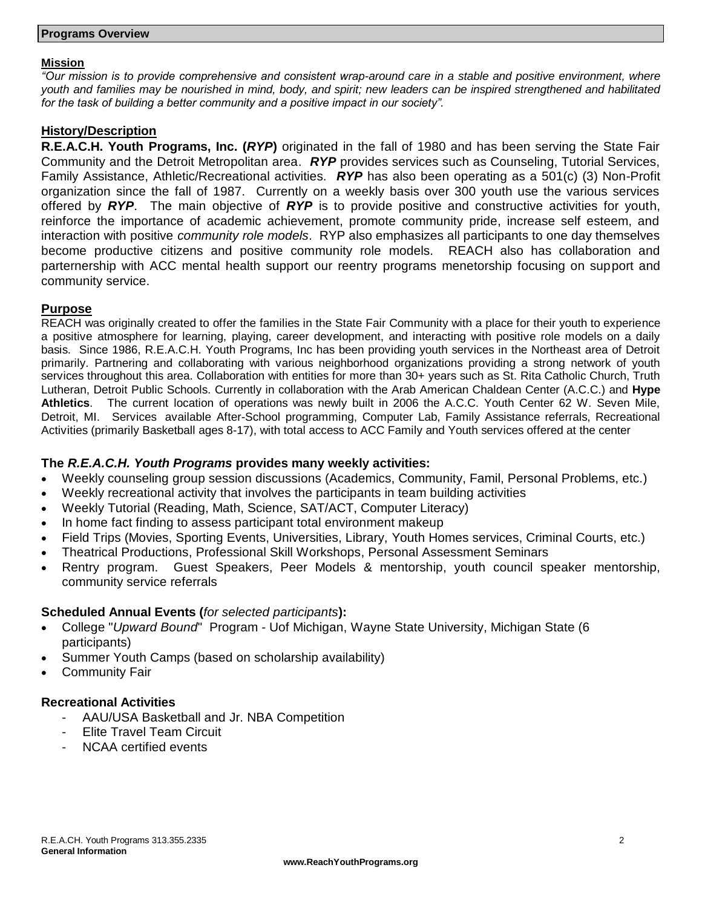#### **Mission**

*"Our mission is to provide comprehensive and consistent wrap-around care in a stable and positive environment, where youth and families may be nourished in mind, body, and spirit; new leaders can be inspired strengthened and habilitated for the task of building a better community and a positive impact in our society".*

#### **History/Description**

**R.E.A.C.H. Youth Programs, Inc. (***RYP***)** originated in the fall of 1980 and has been serving the State Fair Community and the Detroit Metropolitan area. *RYP* provides services such as Counseling, Tutorial Services, Family Assistance, Athletic/Recreational activities. *RYP* has also been operating as a 501(c) (3) Non-Profit organization since the fall of 1987. Currently on a weekly basis over 300 youth use the various services offered by *RYP*. The main objective of *RYP* is to provide positive and constructive activities for youth, reinforce the importance of academic achievement, promote community pride, increase self esteem, and interaction with positive *community role models*. RYP also emphasizes all participants to one day themselves become productive citizens and positive community role models. REACH also has collaboration and parternership with ACC mental health support our reentry programs menetorship focusing on support and community service.

#### **Purpose**

REACH was originally created to offer the families in the State Fair Community with a place for their youth to experience a positive atmosphere for learning, playing, career development, and interacting with positive role models on a daily basis. Since 1986, R.E.A.C.H. Youth Programs, Inc has been providing youth services in the Northeast area of Detroit primarily. Partnering and collaborating with various neighborhood organizations providing a strong network of youth services throughout this area. Collaboration with entities for more than 30+ years such as St. Rita Catholic Church, Truth Lutheran, Detroit Public Schools. Currently in collaboration with the Arab American Chaldean Center (A.C.C.) and **Hype Athletics**. The current location of operations was newly built in 2006 the A.C.C. Youth Center 62 W. Seven Mile, Detroit, MI. Services available After-School programming, Computer Lab, Family Assistance referrals, Recreational Activities (primarily Basketball ages 8-17), with total access to ACC Family and Youth services offered at the center

### **The** *R.E.A.C.H. Youth Programs* **provides many weekly activities:**

- Weekly counseling group session discussions (Academics, Community, Famil, Personal Problems, etc.)
- Weekly recreational activity that involves the participants in team building activities
- Weekly Tutorial (Reading, Math, Science, SAT/ACT, Computer Literacy)
- In home fact finding to assess participant total environment makeup
- Field Trips (Movies, Sporting Events, Universities, Library, Youth Homes services, Criminal Courts, etc.)
- Theatrical Productions, Professional Skill Workshops, Personal Assessment Seminars
- Rentry program. Guest Speakers, Peer Models & mentorship, youth council speaker mentorship, community service referrals

### **Scheduled Annual Events (***for selected participants***):**

- College "*Upward Bound*" Program Uof Michigan, Wayne State University, Michigan State (6 participants)
- Summer Youth Camps (based on scholarship availability)
- Community Fair

### **Recreational Activities**

- AAU/USA Basketball and Jr. NBA Competition
- Elite Travel Team Circuit
- NCAA certified events